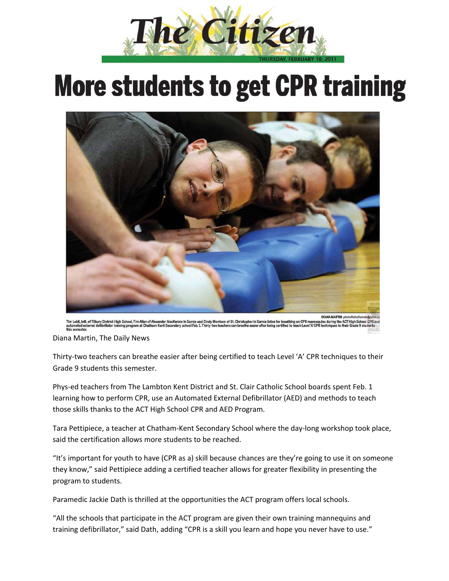

## **More students to get CPR training**



eft, of Tilbury District High School, Tim Allen of Alex<br>external defibrillator training program at Chathamr MacKenzie in Sarnia and Cindy Morrison of St. Christopher in Sa<br>: Secondary school Feb. 1. Thirty-two teachers can breathe easier a **ACT High Sc** s during the

Diana Martin, The Daily News

Thirty-two teachers can breathe easier after being certified to teach Level 'A' CPR techniques to their Grade 9 students this semester.

Phys-ed teachers from The Lambton Kent District and St. Clair Catholic School boards spent Feb. 1 learning how to perform CPR, use an Automated External Defibrillator (AED) and methods to teach those skills thanks to the ACT High School CPR and AED Program.

Tara Pettipiece, a teacher at Chatham‐Kent Secondary School where the day‐long workshop took place, said the certification allows more students to be reached.

"It's important for youth to have (CPR as a) skill because chances are they're going to use it on someone they know," said Pettipiece adding a certified teacher allows for greater flexibility in presenting the program to students.

Paramedic Jackie Dath is thrilled at the opportunities the ACT program offers local schools.

"All the schools that participate in the ACT program are given their own training mannequins and training defibrillator," said Dath, adding "CPR is a skill you learn and hope you never have to use."